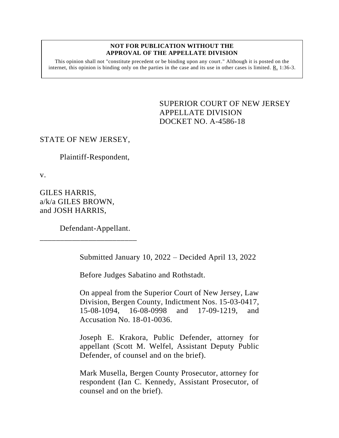#### **NOT FOR PUBLICATION WITHOUT THE APPROVAL OF THE APPELLATE DIVISION**

This opinion shall not "constitute precedent or be binding upon any court." Although it is posted on the internet, this opinion is binding only on the parties in the case and its use in other cases is limited.  $R_1$  1:36-3.

> <span id="page-0-0"></span>SUPERIOR COURT OF NEW JERSEY APPELLATE DIVISION DOCKET NO. A-4586-18

## STATE OF NEW JERSEY,

Plaintiff-Respondent,

v.

GILES HARRIS, a/k/a GILES BROWN, and JOSH HARRIS,

Defendant-Appellant.

\_\_\_\_\_\_\_\_\_\_\_\_\_\_\_\_\_\_\_\_\_\_\_\_

Submitted January 10, 2022 – Decided April 13, 2022

Before Judges Sabatino and Rothstadt.

On appeal from the Superior Court of New Jersey, Law Division, Bergen County, Indictment Nos. 15-03-0417, 15-08-1094, 16-08-0998 and 17-09-1219, and Accusation No. 18-01-0036.

Joseph E. Krakora, Public Defender, attorney for appellant (Scott M. Welfel, Assistant Deputy Public Defender, of counsel and on the brief).

Mark Musella, Bergen County Prosecutor, attorney for respondent (Ian C. Kennedy, Assistant Prosecutor, of counsel and on the brief).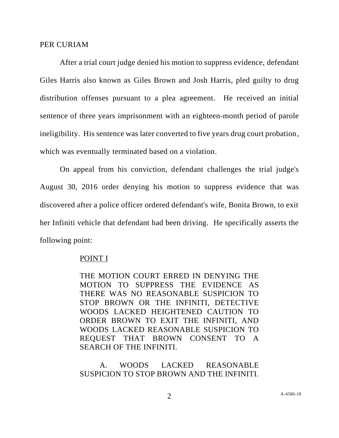#### PER CURIAM

After a trial court judge denied his motion to suppress evidence, defendant Giles Harris also known as Giles Brown and Josh Harris, pled guilty to drug distribution offenses pursuant to a plea agreement. He received an initial sentence of three years imprisonment with an eighteen-month period of parole ineligibility. His sentence was later converted to five years drug court probation, which was eventually terminated based on a violation.

On appeal from his conviction, defendant challenges the trial judge's August 30, 2016 order denying his motion to suppress evidence that was discovered after a police officer ordered defendant's wife, Bonita Brown, to exit her Infiniti vehicle that defendant had been driving. He specifically asserts the following point:

### POINT I

THE MOTION COURT ERRED IN DENYING THE MOTION TO SUPPRESS THE EVIDENCE AS THERE WAS NO REASONABLE SUSPICION TO STOP BROWN OR THE INFINITI, DETECTIVE WOODS LACKED HEIGHTENED CAUTION TO ORDER BROWN TO EXIT THE INFINITI, AND WOODS LACKED REASONABLE SUSPICION TO REQUEST THAT BROWN CONSENT TO A SEARCH OF THE INFINITI.

# A. WOODS LACKED REASONABLE SUSPICION TO STOP BROWN AND THE INFINITI.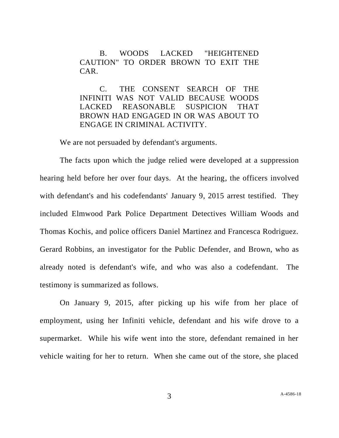B. WOODS LACKED "HEIGHTENED CAUTION" TO ORDER BROWN TO EXIT THE CAR.

C. THE CONSENT SEARCH OF THE INFINITI WAS NOT VALID BECAUSE WOODS LACKED REASONABLE SUSPICION THAT BROWN HAD ENGAGED IN OR WAS ABOUT TO ENGAGE IN CRIMINAL ACTIVITY.

We are not persuaded by defendant's arguments.

The facts upon which the judge relied were developed at a suppression hearing held before her over four days. At the hearing, the officers involved with defendant's and his codefendants' January 9, 2015 arrest testified. They included Elmwood Park Police Department Detectives William Woods and Thomas Kochis, and police officers Daniel Martinez and Francesca Rodriguez. Gerard Robbins, an investigator for the Public Defender, and Brown, who as already noted is defendant's wife, and who was also a codefendant. The testimony is summarized as follows.

On January 9, 2015, after picking up his wife from her place of employment, using her Infiniti vehicle, defendant and his wife drove to a supermarket. While his wife went into the store, defendant remained in her vehicle waiting for her to return. When she came out of the store, she placed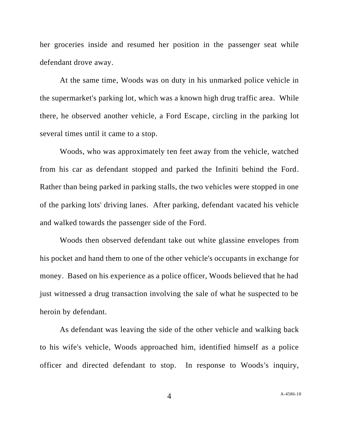her groceries inside and resumed her position in the passenger seat while defendant drove away.

At the same time, Woods was on duty in his unmarked police vehicle in the supermarket's parking lot, which was a known high drug traffic area. While there, he observed another vehicle, a Ford Escape, circling in the parking lot several times until it came to a stop.

Woods, who was approximately ten feet away from the vehicle, watched from his car as defendant stopped and parked the Infiniti behind the Ford. Rather than being parked in parking stalls, the two vehicles were stopped in one of the parking lots' driving lanes. After parking, defendant vacated his vehicle and walked towards the passenger side of the Ford.

Woods then observed defendant take out white glassine envelopes from his pocket and hand them to one of the other vehicle's occupants in exchange for money. Based on his experience as a police officer, Woods believed that he had just witnessed a drug transaction involving the sale of what he suspected to be heroin by defendant.

As defendant was leaving the side of the other vehicle and walking back to his wife's vehicle, Woods approached him, identified himself as a police officer and directed defendant to stop. In response to Woods's inquiry,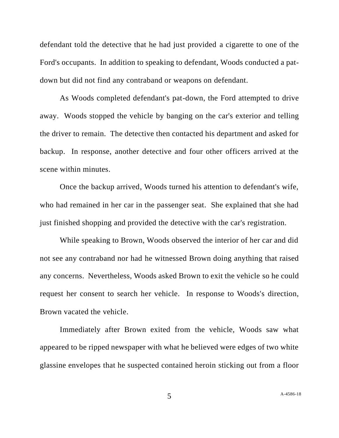defendant told the detective that he had just provided a cigarette to one of the Ford's occupants. In addition to speaking to defendant, Woods conducted a patdown but did not find any contraband or weapons on defendant.

As Woods completed defendant's pat-down, the Ford attempted to drive away. Woods stopped the vehicle by banging on the car's exterior and telling the driver to remain. The detective then contacted his department and asked for backup. In response, another detective and four other officers arrived at the scene within minutes.

Once the backup arrived, Woods turned his attention to defendant's wife, who had remained in her car in the passenger seat. She explained that she had just finished shopping and provided the detective with the car's registration.

While speaking to Brown, Woods observed the interior of her car and did not see any contraband nor had he witnessed Brown doing anything that raised any concerns. Nevertheless, Woods asked Brown to exit the vehicle so he could request her consent to search her vehicle. In response to Woods's direction, Brown vacated the vehicle.

Immediately after Brown exited from the vehicle, Woods saw what appeared to be ripped newspaper with what he believed were edges of two white glassine envelopes that he suspected contained heroin sticking out from a floor

5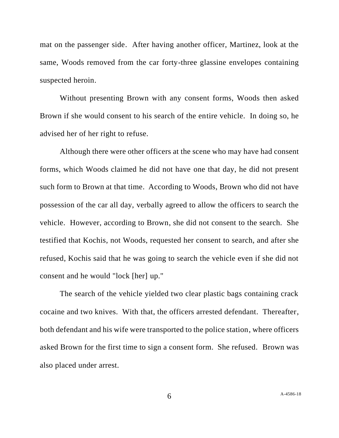mat on the passenger side. After having another officer, Martinez, look at the same, Woods removed from the car forty-three glassine envelopes containing suspected heroin.

Without presenting Brown with any consent forms, Woods then asked Brown if she would consent to his search of the entire vehicle. In doing so, he advised her of her right to refuse.

Although there were other officers at the scene who may have had consent forms, which Woods claimed he did not have one that day, he did not present such form to Brown at that time. According to Woods, Brown who did not have possession of the car all day, verbally agreed to allow the officers to search the vehicle. However, according to Brown, she did not consent to the search. She testified that Kochis, not Woods, requested her consent to search, and after she refused, Kochis said that he was going to search the vehicle even if she did not consent and he would "lock [her] up."

The search of the vehicle yielded two clear plastic bags containing crack cocaine and two knives. With that, the officers arrested defendant. Thereafter, both defendant and his wife were transported to the police station, where officers asked Brown for the first time to sign a consent form. She refused. Brown was also placed under arrest.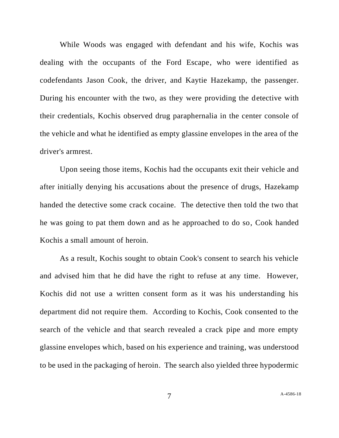While Woods was engaged with defendant and his wife, Kochis was dealing with the occupants of the Ford Escape, who were identified as codefendants Jason Cook, the driver, and Kaytie Hazekamp, the passenger. During his encounter with the two, as they were providing the detective with their credentials, Kochis observed drug paraphernalia in the center console of the vehicle and what he identified as empty glassine envelopes in the area of the driver's armrest.

Upon seeing those items, Kochis had the occupants exit their vehicle and after initially denying his accusations about the presence of drugs, Hazekamp handed the detective some crack cocaine. The detective then told the two that he was going to pat them down and as he approached to do so, Cook handed Kochis a small amount of heroin.

As a result, Kochis sought to obtain Cook's consent to search his vehicle and advised him that he did have the right to refuse at any time. However, Kochis did not use a written consent form as it was his understanding his department did not require them. According to Kochis, Cook consented to the search of the vehicle and that search revealed a crack pipe and more empty glassine envelopes which, based on his experience and training, was understood to be used in the packaging of heroin. The search also yielded three hypodermic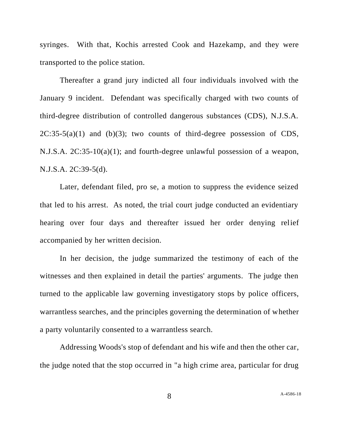syringes. With that, Kochis arrested Cook and Hazekamp, and they were transported to the police station.

Thereafter a grand jury indicted all four individuals involved with the January 9 incident. Defendant was specifically charged with two counts of third-degree distribution of controlled dangerous substances (CDS), N.J.S.A.  $2C:35-5(a)(1)$  and (b)(3); two counts of third-degree possession of CDS, N.J.S.A. 2C:35-10(a)(1); and fourth-degree unlawful possession of a weapon, N.J.S.A. 2C:39-5(d).

Later, defendant filed, pro se, a motion to suppress the evidence seized that led to his arrest. As noted, the trial court judge conducted an evidentiary hearing over four days and thereafter issued her order denying relief accompanied by her written decision.

In her decision, the judge summarized the testimony of each of the witnesses and then explained in detail the parties' arguments. The judge then turned to the applicable law governing investigatory stops by police officers, warrantless searches, and the principles governing the determination of whether a party voluntarily consented to a warrantless search.

Addressing Woods's stop of defendant and his wife and then the other car, the judge noted that the stop occurred in "a high crime area, particular for drug

8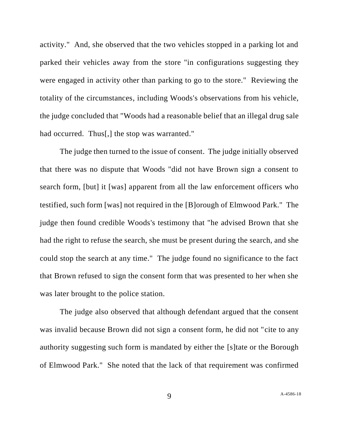activity." And, she observed that the two vehicles stopped in a parking lot and parked their vehicles away from the store "in configurations suggesting they were engaged in activity other than parking to go to the store." Reviewing the totality of the circumstances, including Woods's observations from his vehicle, the judge concluded that "Woods had a reasonable belief that an illegal drug sale had occurred. Thus[,] the stop was warranted."

The judge then turned to the issue of consent. The judge initially observed that there was no dispute that Woods "did not have Brown sign a consent to search form, [but] it [was] apparent from all the law enforcement officers who testified, such form [was] not required in the [B]orough of Elmwood Park." The judge then found credible Woods's testimony that "he advised Brown that she had the right to refuse the search, she must be present during the search, and she could stop the search at any time." The judge found no significance to the fact that Brown refused to sign the consent form that was presented to her when she was later brought to the police station.

The judge also observed that although defendant argued that the consent was invalid because Brown did not sign a consent form, he did not "cite to any authority suggesting such form is mandated by either the [s]tate or the Borough of Elmwood Park." She noted that the lack of that requirement was confirmed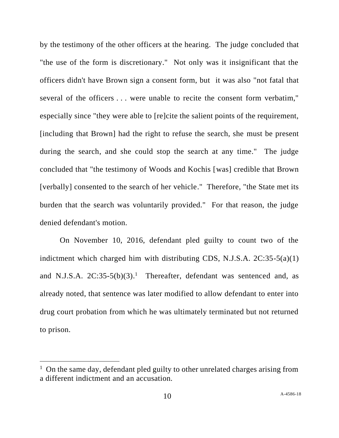by the testimony of the other officers at the hearing. The judge concluded that "the use of the form is discretionary." Not only was it insignificant that the officers didn't have Brown sign a consent form, but it was also "not fatal that several of the officers . . . were unable to recite the consent form verbatim," especially since "they were able to [re]cite the salient points of the requirement, [including that Brown] had the right to refuse the search, she must be present during the search, and she could stop the search at any time." The judge concluded that "the testimony of Woods and Kochis [was] credible that Brown [verbally] consented to the search of her vehicle." Therefore, "the State met its burden that the search was voluntarily provided." For that reason, the judge denied defendant's motion.

On November 10, 2016, defendant pled guilty to count two of the indictment which charged him with distributing CDS, N.J.S.A.  $2C:35-5(a)(1)$ and N.J.S.A.  $2C:35-5(b)(3)$ .<sup>1</sup> Thereafter, defendant was sentenced and, as already noted, that sentence was later modified to allow defendant to enter into drug court probation from which he was ultimately terminated but not returned to prison.

<sup>&</sup>lt;sup>1</sup> On the same day, defendant pled guilty to other unrelated charges arising from a different indictment and an accusation.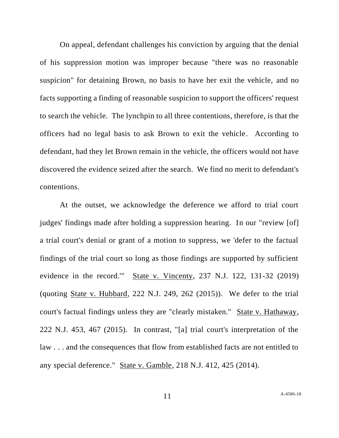On appeal, defendant challenges his conviction by arguing that the denial of his suppression motion was improper because "there was no reasonable suspicion" for detaining Brown, no basis to have her exit the vehicle, and no facts supporting a finding of reasonable suspicion to support the officers' request to search the vehicle. The lynchpin to all three contentions, therefore, is that the officers had no legal basis to ask Brown to exit the vehicle. According to defendant, had they let Brown remain in the vehicle, the officers would not have discovered the evidence seized after the search. We find no merit to defendant's contentions.

At the outset, we acknowledge the deference we afford to trial court judges' findings made after holding a suppression hearing. In our "review [of] a trial court's denial or grant of a motion to suppress, we 'defer to the factual findings of the trial court so long as those findings are supported by sufficient evidence in the record.'" State v. Vincenty, 237 N.J. 122, 131-32 (2019) (quoting State v. Hubbard, 222 N.J. 249, 262 (2015)). We defer to the trial court's factual findings unless they are "clearly mistaken." State v. Hathaway, 222 N.J. 453, 467 (2015). In contrast, "[a] trial court's interpretation of the law . . . and the consequences that flow from established facts are not entitled to any special deference." State v. Gamble, 218 N.J. 412, 425 (2014).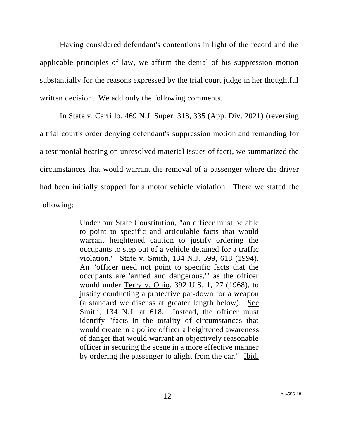Having considered defendant's contentions in light of the record and the applicable principles of law, we affirm the denial of his suppression motion substantially for the reasons expressed by the trial court judge in her thoughtful written decision. We add only the following comments.

In State v. Carrillo, 469 N.J. Super. 318, 335 (App. Div. 2021) (reversing a trial court's order denying defendant's suppression motion and remanding for a testimonial hearing on unresolved material issues of fact), we summarized the circumstances that would warrant the removal of a passenger where the driver had been initially stopped for a motor vehicle violation. There we stated the following:

> Under our State Constitution, "an officer must be able to point to specific and articulable facts that would warrant heightened caution to justify ordering the occupants to step out of a vehicle detained for a traffic violation." State v. Smith, 134 N.J. 599, 618 (1994). An "officer need not point to specific facts that the occupants are 'armed and dangerous,'" as the officer would under Terry v. Ohio, 392 U.S. 1, 27 (1968), to justify conducting a protective pat-down for a weapon (a standard we discuss at greater length below). See Smith, 134 N.J. at 618. Instead, the officer must identify "facts in the totality of circumstances that would create in a police officer a heightened awareness of danger that would warrant an objectively reasonable officer in securing the scene in a more effective manner by ordering the passenger to alight from the car." Ibid.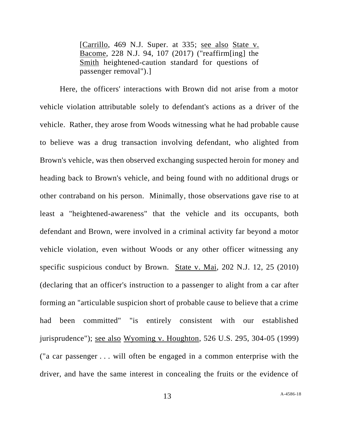[Carrillo, 469 N.J. Super. at 335; see also State v. Bacome, 228 N.J. 94, 107 (2017) ("reaffirm[ing] the Smith heightened-caution standard for questions of passenger removal").]

Here, the officers' interactions with Brown did not arise from a motor vehicle violation attributable solely to defendant's actions as a driver of the vehicle. Rather, they arose from Woods witnessing what he had probable cause to believe was a drug transaction involving defendant, who alighted from Brown's vehicle, was then observed exchanging suspected heroin for money and heading back to Brown's vehicle, and being found with no additional drugs or other contraband on his person. Minimally, those observations gave rise to at least a "heightened-awareness" that the vehicle and its occupants, both defendant and Brown, were involved in a criminal activity far beyond a motor vehicle violation, even without Woods or any other officer witnessing any specific suspicious conduct by Brown. State v. Mai, 202 N.J. 12, 25 (2010) (declaring that an officer's instruction to a passenger to alight from a car after forming an "articulable suspicion short of probable cause to believe that a crime had been committed" "is entirely consistent with our established jurisprudence"); see also Wyoming v. Houghton, 526 U.S. 295, 304-05 (1999) ("a car passenger . . . will often be engaged in a common enterprise with the driver, and have the same interest in concealing the fruits or the evidence of